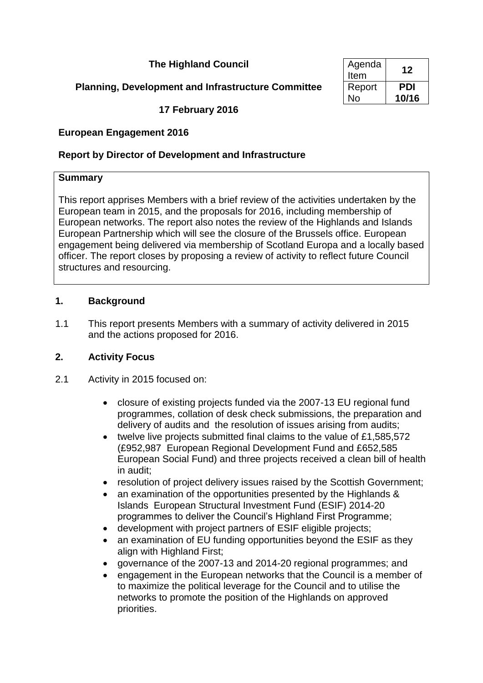# **The Highland Council**

# **Planning, Development and Infrastructure Committee**

**17 February 2016**

## **European Engagement 2016**

## **Report by Director of Development and Infrastructure**

### **Summary**

This report apprises Members with a brief review of the activities undertaken by the European team in 2015, and the proposals for 2016, including membership of European networks. The report also notes the review of the Highlands and Islands European Partnership which will see the closure of the Brussels office. European engagement being delivered via membership of Scotland Europa and a locally based officer. The report closes by proposing a review of activity to reflect future Council structures and resourcing.

## **1. Background**

1.1 This report presents Members with a summary of activity delivered in 2015 and the actions proposed for 2016.

## **2. Activity Focus**

- 2.1 Activity in 2015 focused on:
	- closure of existing projects funded via the 2007-13 EU regional fund programmes, collation of desk check submissions, the preparation and delivery of audits and the resolution of issues arising from audits;
	- twelve live projects submitted final claims to the value of £1,585,572 (£952,987 European Regional Development Fund and £652,585 European Social Fund) and three projects received a clean bill of health in audit;
	- resolution of project delivery issues raised by the Scottish Government;
	- an examination of the opportunities presented by the Highlands & Islands European Structural Investment Fund (ESIF) 2014-20 programmes to deliver the Council's Highland First Programme;
	- development with project partners of ESIF eligible projects;
	- an examination of EU funding opportunities beyond the ESIF as they align with Highland First;
	- governance of the 2007-13 and 2014-20 regional programmes; and
	- engagement in the European networks that the Council is a member of to maximize the political leverage for the Council and to utilise the networks to promote the position of the Highlands on approved priorities.

| Agenda<br>Item | 17    |
|----------------|-------|
| Report         | PDI   |
| N٥             | 10/16 |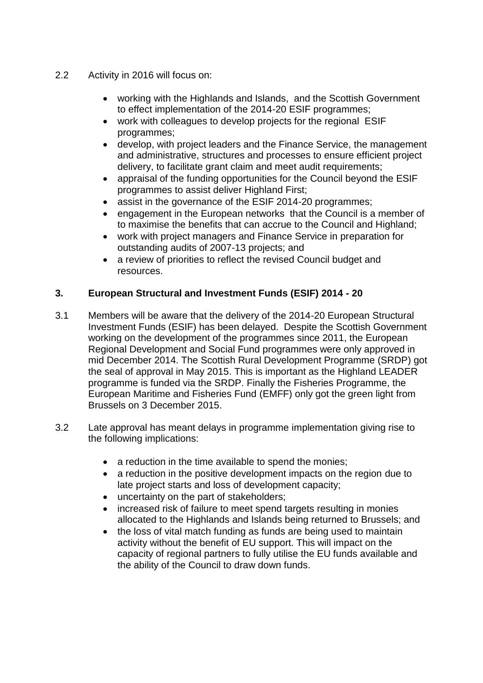- 2.2 Activity in 2016 will focus on:
	- working with the Highlands and Islands, and the Scottish Government to effect implementation of the 2014-20 ESIF programmes;
	- work with colleagues to develop projects for the regional ESIF programmes;
	- develop, with project leaders and the Finance Service, the management and administrative, structures and processes to ensure efficient project delivery, to facilitate grant claim and meet audit requirements;
	- appraisal of the funding opportunities for the Council beyond the ESIF programmes to assist deliver Highland First;
	- assist in the governance of the ESIF 2014-20 programmes;
	- engagement in the European networks that the Council is a member of to maximise the benefits that can accrue to the Council and Highland;
	- work with project managers and Finance Service in preparation for outstanding audits of 2007-13 projects; and
	- a review of priorities to reflect the revised Council budget and resources.

## **3. European Structural and Investment Funds (ESIF) 2014 - 20**

- 3.1 Members will be aware that the delivery of the 2014-20 European Structural Investment Funds (ESIF) has been delayed. Despite the Scottish Government working on the development of the programmes since 2011, the European Regional Development and Social Fund programmes were only approved in mid December 2014. The Scottish Rural Development Programme (SRDP) got the seal of approval in May 2015. This is important as the Highland LEADER programme is funded via the SRDP. Finally the Fisheries Programme, the European Maritime and Fisheries Fund (EMFF) only got the green light from Brussels on 3 December 2015.
- 3.2 Late approval has meant delays in programme implementation giving rise to the following implications:
	- a reduction in the time available to spend the monies;
	- a reduction in the positive development impacts on the region due to late project starts and loss of development capacity;
	- uncertainty on the part of stakeholders;
	- increased risk of failure to meet spend targets resulting in monies allocated to the Highlands and Islands being returned to Brussels; and
	- the loss of vital match funding as funds are being used to maintain activity without the benefit of EU support. This will impact on the capacity of regional partners to fully utilise the EU funds available and the ability of the Council to draw down funds.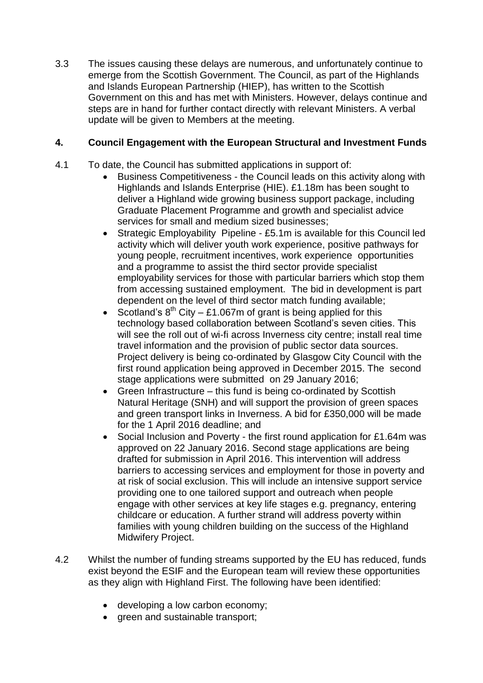3.3 The issues causing these delays are numerous, and unfortunately continue to emerge from the Scottish Government. The Council, as part of the Highlands and Islands European Partnership (HIEP), has written to the Scottish Government on this and has met with Ministers. However, delays continue and steps are in hand for further contact directly with relevant Ministers. A verbal update will be given to Members at the meeting.

## **4. Council Engagement with the European Structural and Investment Funds**

- 4.1 To date, the Council has submitted applications in support of:
	- Business Competitiveness the Council leads on this activity along with Highlands and Islands Enterprise (HIE). £1.18m has been sought to deliver a Highland wide growing business support package, including Graduate Placement Programme and growth and specialist advice services for small and medium sized businesses;
	- Strategic Employability Pipeline £5.1m is available for this Council led activity which will deliver youth work experience, positive pathways for young people, recruitment incentives, work experience opportunities and a programme to assist the third sector provide specialist employability services for those with particular barriers which stop them from accessing sustained employment. The bid in development is part dependent on the level of third sector match funding available;
	- Scotland's  $8^{th}$  City £1.067m of grant is being applied for this technology based collaboration between Scotland's seven cities. This will see the roll out of wi-fi across Inverness city centre; install real time travel information and the provision of public sector data sources. Project delivery is being co-ordinated by Glasgow City Council with the first round application being approved in December 2015. The second stage applications were submitted on 29 January 2016;
	- Green Infrastructure this fund is being co-ordinated by Scottish Natural Heritage (SNH) and will support the provision of green spaces and green transport links in Inverness. A bid for £350,000 will be made for the 1 April 2016 deadline; and
	- Social Inclusion and Poverty the first round application for £1.64m was approved on 22 January 2016. Second stage applications are being drafted for submission in April 2016. This intervention will address barriers to accessing services and employment for those in poverty and at risk of social exclusion. This will include an intensive support service providing one to one tailored support and outreach when people engage with other services at key life stages e.g. pregnancy, entering childcare or education. A further strand will address poverty within families with young children building on the success of the Highland Midwifery Project.
- 4.2 Whilst the number of funding streams supported by the EU has reduced, funds exist beyond the ESIF and the European team will review these opportunities as they align with Highland First. The following have been identified:
	- developing a low carbon economy;
	- green and sustainable transport: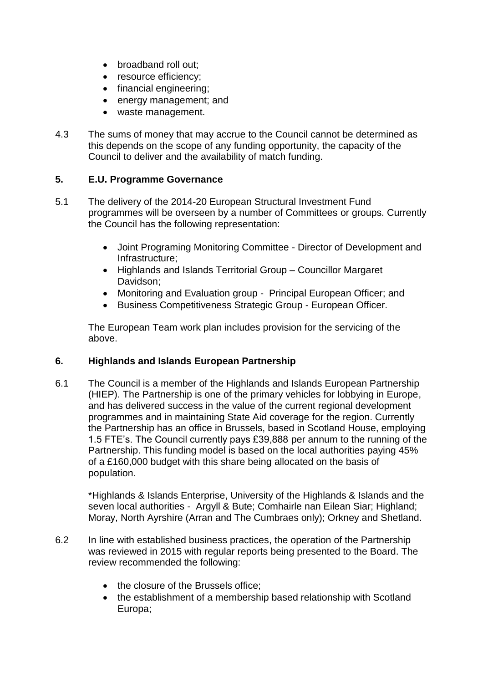- broadband roll out:
- resource efficiency;
- financial engineering;
- energy management; and
- waste management.
- 4.3 The sums of money that may accrue to the Council cannot be determined as this depends on the scope of any funding opportunity, the capacity of the Council to deliver and the availability of match funding.

### **5. E.U. Programme Governance**

- 5.1 The delivery of the 2014-20 European Structural Investment Fund programmes will be overseen by a number of Committees or groups. Currently the Council has the following representation:
	- Joint Programing Monitoring Committee Director of Development and Infrastructure;
	- Highlands and Islands Territorial Group Councillor Margaret Davidson;
	- Monitoring and Evaluation group Principal European Officer; and
	- Business Competitiveness Strategic Group European Officer.

The European Team work plan includes provision for the servicing of the above.

#### **6. Highlands and Islands European Partnership**

6.1 The Council is a member of the Highlands and Islands European Partnership (HIEP). The Partnership is one of the primary vehicles for lobbying in Europe, and has delivered success in the value of the current regional development programmes and in maintaining State Aid coverage for the region. Currently the Partnership has an office in Brussels, based in Scotland House, employing 1.5 FTE's. The Council currently pays £39,888 per annum to the running of the Partnership. This funding model is based on the local authorities paying 45% of a £160,000 budget with this share being allocated on the basis of population.

\*Highlands & Islands Enterprise, University of the Highlands & Islands and the seven local authorities - Argyll & Bute; Comhairle nan Eilean Siar; Highland; Moray, North Ayrshire (Arran and The Cumbraes only); Orkney and Shetland.

- 6.2 In line with established business practices, the operation of the Partnership was reviewed in 2015 with regular reports being presented to the Board. The review recommended the following:
	- the closure of the Brussels office;
	- the establishment of a membership based relationship with Scotland Europa;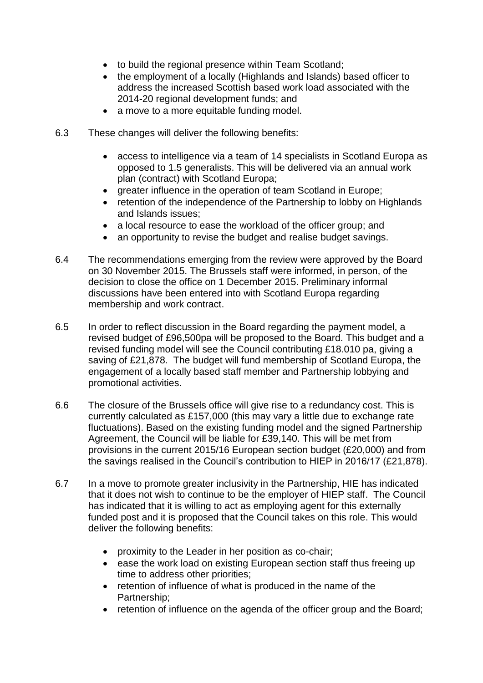- to build the regional presence within Team Scotland;
- the employment of a locally (Highlands and Islands) based officer to address the increased Scottish based work load associated with the 2014-20 regional development funds; and
- a move to a more equitable funding model.
- 6.3 These changes will deliver the following benefits:
	- access to intelligence via a team of 14 specialists in Scotland Europa as opposed to 1.5 generalists. This will be delivered via an annual work plan (contract) with Scotland Europa;
	- greater influence in the operation of team Scotland in Europe;
	- retention of the independence of the Partnership to lobby on Highlands and Islands issues;
	- a local resource to ease the workload of the officer group; and
	- an opportunity to revise the budget and realise budget savings.
- 6.4 The recommendations emerging from the review were approved by the Board on 30 November 2015. The Brussels staff were informed, in person, of the decision to close the office on 1 December 2015. Preliminary informal discussions have been entered into with Scotland Europa regarding membership and work contract.
- 6.5 In order to reflect discussion in the Board regarding the payment model, a revised budget of £96,500pa will be proposed to the Board. This budget and a revised funding model will see the Council contributing £18.010 pa, giving a saving of £21,878. The budget will fund membership of Scotland Europa, the engagement of a locally based staff member and Partnership lobbying and promotional activities.
- 6.6 The closure of the Brussels office will give rise to a redundancy cost. This is currently calculated as £157,000 (this may vary a little due to exchange rate fluctuations). Based on the existing funding model and the signed Partnership Agreement, the Council will be liable for £39,140. This will be met from provisions in the current 2015/16 European section budget (£20,000) and from the savings realised in the Council's contribution to HIEP in 2016/17 (£21,878).
- 6.7 In a move to promote greater inclusivity in the Partnership, HIE has indicated that it does not wish to continue to be the employer of HIEP staff. The Council has indicated that it is willing to act as employing agent for this externally funded post and it is proposed that the Council takes on this role. This would deliver the following benefits:
	- proximity to the Leader in her position as co-chair;
	- ease the work load on existing European section staff thus freeing up time to address other priorities;
	- retention of influence of what is produced in the name of the Partnership;
	- retention of influence on the agenda of the officer group and the Board: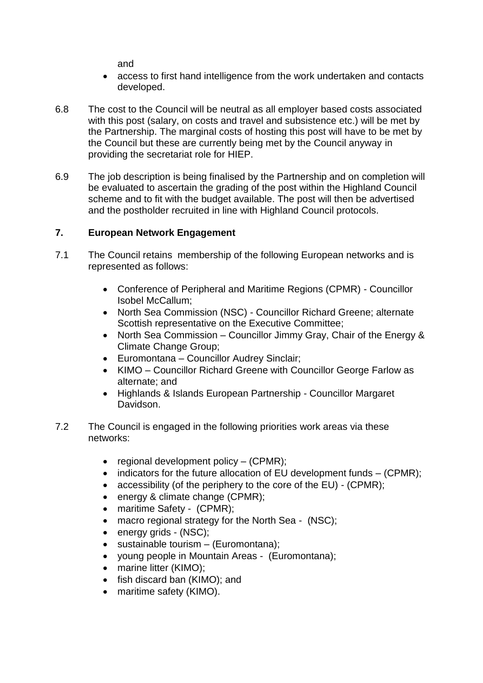and

- access to first hand intelligence from the work undertaken and contacts developed.
- 6.8 The cost to the Council will be neutral as all employer based costs associated with this post (salary, on costs and travel and subsistence etc.) will be met by the Partnership. The marginal costs of hosting this post will have to be met by the Council but these are currently being met by the Council anyway in providing the secretariat role for HIEP.
- 6.9 The job description is being finalised by the Partnership and on completion will be evaluated to ascertain the grading of the post within the Highland Council scheme and to fit with the budget available. The post will then be advertised and the postholder recruited in line with Highland Council protocols.

## **7. European Network Engagement**

- 7.1 The Council retains membership of the following European networks and is represented as follows:
	- Conference of Peripheral and Maritime Regions (CPMR) Councillor Isobel McCallum;
	- North Sea Commission (NSC) Councillor Richard Greene; alternate Scottish representative on the Executive Committee;
	- North Sea Commission Councillor Jimmy Gray, Chair of the Energy & Climate Change Group;
	- Euromontana Councillor Audrey Sinclair;
	- KIMO Councillor Richard Greene with Councillor George Farlow as alternate; and
	- Highlands & Islands European Partnership Councillor Margaret Davidson.
- 7.2 The Council is engaged in the following priorities work areas via these networks:
	- regional development policy (CPMR);
	- $\bullet$  indicators for the future allocation of EU development funds  $-$  (CPMR);
	- accessibility (of the periphery to the core of the EU) (CPMR);
	- energy & climate change (CPMR);
	- maritime Safety (CPMR);
	- macro regional strategy for the North Sea (NSC);
	- energy grids (NSC);
	- sustainable tourism (Euromontana);
	- young people in Mountain Areas (Euromontana);
	- marine litter (KIMO);
	- fish discard ban (KIMO); and
	- maritime safety (KIMO).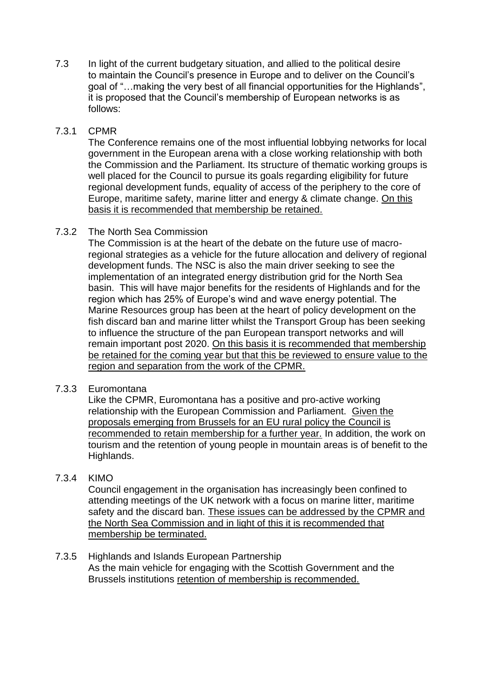7.3 In light of the current budgetary situation, and allied to the political desire to maintain the Council's presence in Europe and to deliver on the Council's goal of "…making the very best of all financial opportunities for the Highlands", it is proposed that the Council's membership of European networks is as follows:

### 7.3.1 CPMR

The Conference remains one of the most influential lobbying networks for local government in the European arena with a close working relationship with both the Commission and the Parliament. Its structure of thematic working groups is well placed for the Council to pursue its goals regarding eligibility for future regional development funds, equality of access of the periphery to the core of Europe, maritime safety, marine litter and energy & climate change. On this basis it is recommended that membership be retained.

## 7.3.2 The North Sea Commission

The Commission is at the heart of the debate on the future use of macroregional strategies as a vehicle for the future allocation and delivery of regional development funds. The NSC is also the main driver seeking to see the implementation of an integrated energy distribution grid for the North Sea basin. This will have major benefits for the residents of Highlands and for the region which has 25% of Europe's wind and wave energy potential. The Marine Resources group has been at the heart of policy development on the fish discard ban and marine litter whilst the Transport Group has been seeking to influence the structure of the pan European transport networks and will remain important post 2020. On this basis it is recommended that membership be retained for the coming year but that this be reviewed to ensure value to the region and separation from the work of the CPMR.

#### 7.3.3 Euromontana

Like the CPMR, Euromontana has a positive and pro-active working relationship with the European Commission and Parliament. Given the proposals emerging from Brussels for an EU rural policy the Council is recommended to retain membership for a further year. In addition, the work on tourism and the retention of young people in mountain areas is of benefit to the Highlands.

## 7.3.4 KIMO

Council engagement in the organisation has increasingly been confined to attending meetings of the UK network with a focus on marine litter, maritime safety and the discard ban. These issues can be addressed by the CPMR and the North Sea Commission and in light of this it is recommended that membership be terminated.

7.3.5 Highlands and Islands European Partnership As the main vehicle for engaging with the Scottish Government and the Brussels institutions retention of membership is recommended.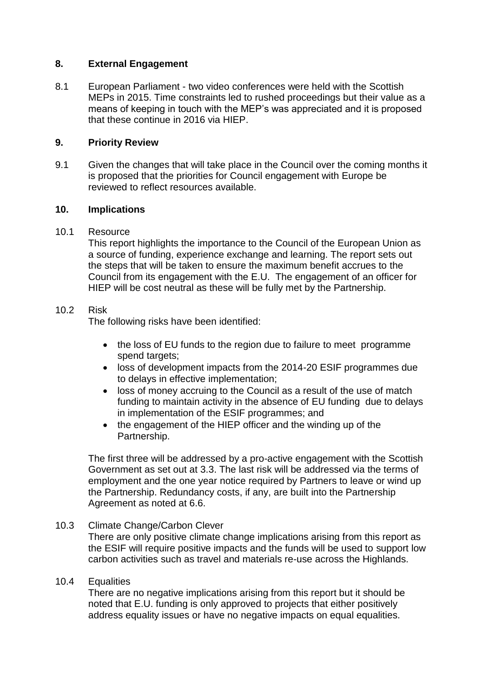#### **8. External Engagement**

8.1 European Parliament - two video conferences were held with the Scottish MEPs in 2015. Time constraints led to rushed proceedings but their value as a means of keeping in touch with the MEP's was appreciated and it is proposed that these continue in 2016 via HIEP.

### **9. Priority Review**

9.1 Given the changes that will take place in the Council over the coming months it is proposed that the priorities for Council engagement with Europe be reviewed to reflect resources available.

### **10. Implications**

### 10.1 Resource

This report highlights the importance to the Council of the European Union as a source of funding, experience exchange and learning. The report sets out the steps that will be taken to ensure the maximum benefit accrues to the Council from its engagement with the E.U. The engagement of an officer for HIEP will be cost neutral as these will be fully met by the Partnership.

### 10.2 Risk

The following risks have been identified:

- the loss of EU funds to the region due to failure to meet programme spend targets;
- loss of development impacts from the 2014-20 ESIF programmes due to delays in effective implementation;
- loss of money accruing to the Council as a result of the use of match funding to maintain activity in the absence of EU funding due to delays in implementation of the ESIF programmes; and
- the engagement of the HIEP officer and the winding up of the Partnership.

The first three will be addressed by a pro-active engagement with the Scottish Government as set out at 3.3. The last risk will be addressed via the terms of employment and the one year notice required by Partners to leave or wind up the Partnership. Redundancy costs, if any, are built into the Partnership Agreement as noted at 6.6.

## 10.3 Climate Change/Carbon Clever

There are only positive climate change implications arising from this report as the ESIF will require positive impacts and the funds will be used to support low carbon activities such as travel and materials re-use across the Highlands.

## 10.4 Equalities

There are no negative implications arising from this report but it should be noted that E.U. funding is only approved to projects that either positively address equality issues or have no negative impacts on equal equalities.